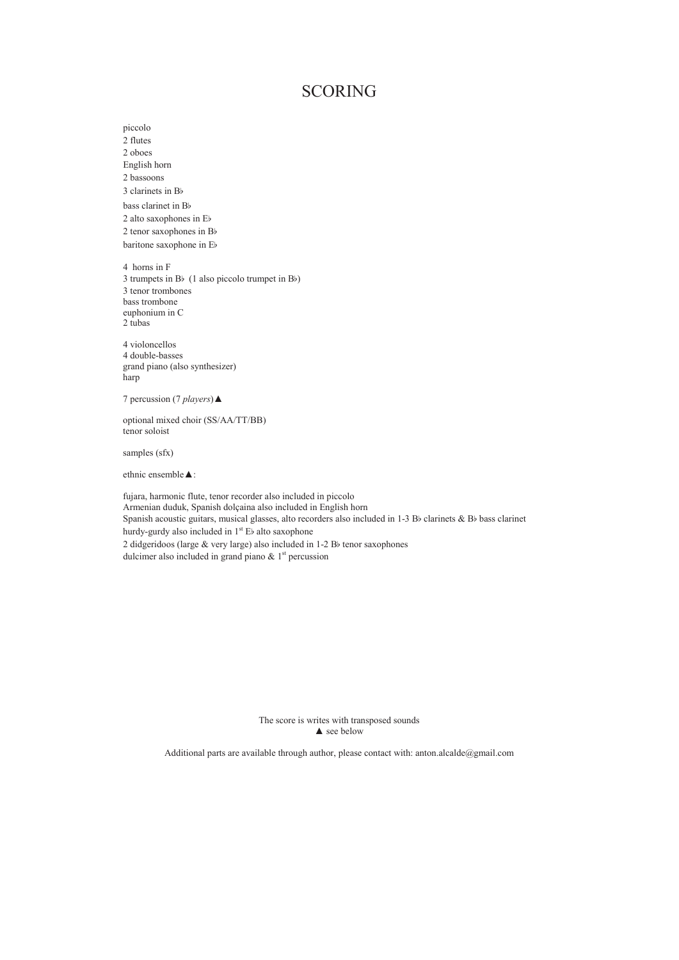## SCORING

2 flutes 2 oboes English horn 2 bassoons 3 clarinets in  $B$ bass clarinet in Bb 2 alto saxophones in  $E$ b 2 tenor saxophones in  $B$ baritone saxophone in Eb 4 horns in F 3 trumpets in B $\flat$  (1 also piccolo trumpet in B $\flat$ ) 3 tenor trombones bass trombone euphonium in C 2 tubas 4 violoncellos 4 double-basses grand piano (also synthesizer) harp 7 percussion (7 *players*) **▲** optional mixed choir (SS/AA/TT/BB) tenor soloist samples (sfx) ethnic ensemble  $\blacktriangle$ : fujara, harmonic flute, tenor recorder also included in piccolo Armenian duduk, Spanish dolçaina also included in English horn Spanish acoustic guitars, musical glasses, alto recorders also included in 1-3 Bb clarinets & Bb bass clarinet hurdy-gurdy also included in  $1^{st}$  Eb alto saxophone 2 didgeridoos (large & very large) also included in 1-2 Bb tenor saxophones

dulcimer also included in grand piano  $\&$  1<sup>st</sup> percussion

piccolo

The score is writes with transposed sounds  $\blacktriangle$  see below

Additional parts are available through author, please contact with: anton.alcalde@gmail.com